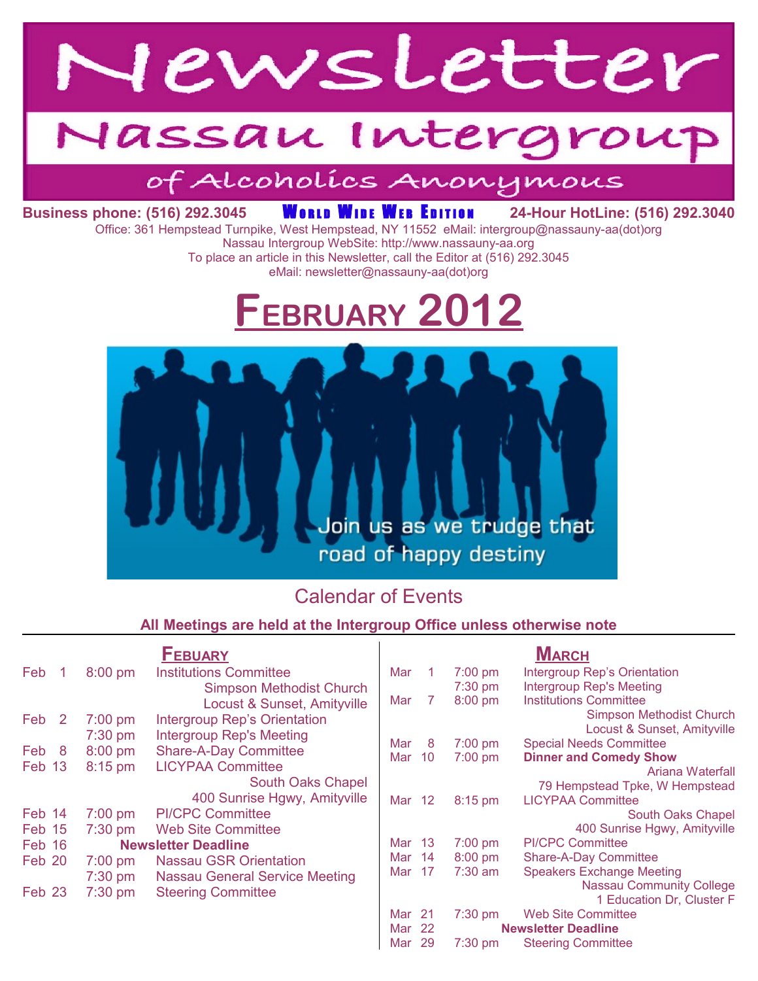

# Vassau Intergroup

# of Alcoholics Anonymous

## **Business phone: (516) 292.3045 WORLD WIDE WEB EDITION 24-Hour HotLine: (516) 292.3040**

Office: 361 Hempstead Turnpike, West Hempstead, NY 11552 eMail: intergroup@nassauny-aa(dot)org

Nassau Intergroup WebSite: http://www.nassauny-aa.org To place an article in this Newsletter, call the Editor at (516) 292.3045 eMail: newsletter@nassauny-aa(dot)org

# **FEBRUARY 2012**



### Calendar of Events

#### **All Meetings are held at the Intergroup Office unless otherwise note**

| <b>FEBUARY</b>        |           |                                       | $M$ arch |        |           |                                  |
|-----------------------|-----------|---------------------------------------|----------|--------|-----------|----------------------------------|
| Feb                   | $8:00$ pm | <b>Institutions Committee</b>         | Mar      |        | $7:00$ pm | Intergroup Rep's Orientation     |
|                       |           | <b>Simpson Methodist Church</b>       |          |        | $7:30$ pm | <b>Intergroup Rep's Meeting</b>  |
|                       |           | Locust & Sunset, Amityville           | Mar      | 7      | 8:00 pm   | <b>Institutions Committee</b>    |
| Feb<br>$\overline{2}$ | $7:00$ pm | <b>Intergroup Rep's Orientation</b>   |          |        |           | Simpson Methodist Church         |
|                       | $7:30$ pm | <b>Intergroup Rep's Meeting</b>       |          |        |           | Locust & Sunset, Amityville      |
| Feb 8                 | $8:00$ pm | <b>Share-A-Day Committee</b>          | Mar      | 8      | 7:00 pm   | <b>Special Needs Committee</b>   |
| Feb 13                | $8:15$ pm | <b>LICYPAA Committee</b>              | Mar      | 10     | $7:00$ pm | <b>Dinner and Comedy Show</b>    |
|                       |           | South Oaks Chapel                     |          |        |           | Ariana Waterfall                 |
|                       |           |                                       |          |        |           | 79 Hempstead Tpke, W Hempstead   |
|                       |           | 400 Sunrise Hgwy, Amityville          | Mar 12   |        | 8:15 pm   | <b>LICYPAA Committee</b>         |
| Feb 14                | $7:00$ pm | <b>PI/CPC Committee</b>               |          |        |           | South Oaks Chapel                |
| Feb 15                | $7:30$ pm | <b>Web Site Committee</b>             |          |        |           | 400 Sunrise Hgwy, Amityville     |
| Feb 16                |           | <b>Newsletter Deadline</b>            |          | Mar 13 | $7:00$ pm | <b>PI/CPC Committee</b>          |
| Feb 20                | $7:00$ pm | <b>Nassau GSR Orientation</b>         | Mar 14   |        | $8:00$ pm | Share-A-Day Committee            |
|                       | 7:30 pm   | <b>Nassau General Service Meeting</b> | Mar      | -17    | $7:30$ am | <b>Speakers Exchange Meeting</b> |
| Feb 23                | $7:30$ pm | <b>Steering Committee</b>             |          |        |           | <b>Nassau Community College</b>  |
|                       |           |                                       |          |        |           | 1 Education Dr, Cluster F        |
|                       |           |                                       | Mar 21   |        | 7:30 pm   | <b>Web Site Committee</b>        |
|                       |           |                                       | Mar 22   |        |           | <b>Newsletter Deadline</b>       |
|                       |           |                                       | Mar      | 29     | 7:30 pm   | <b>Steering Committee</b>        |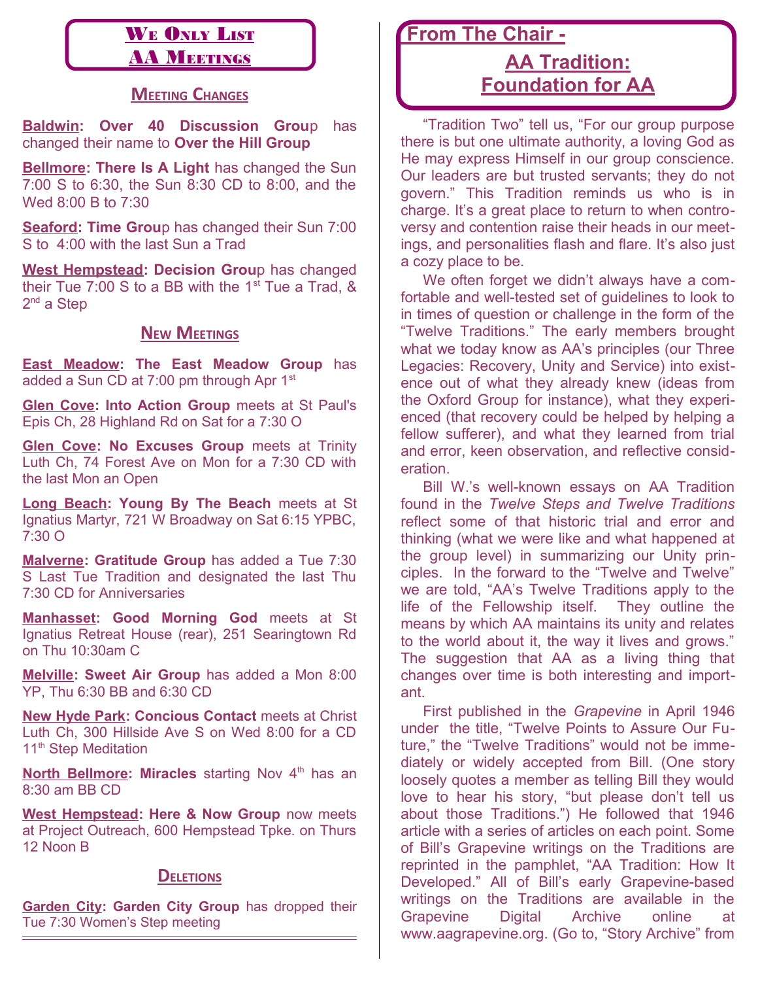#### WE ONLY LIST **AA MEETINGS**

#### **MEETING CHANGES**

**Baldwin: Over 40 Discussion Grou**p has changed their name to **Over the Hill Group**

**Bellmore: There Is A Light** has changed the Sun 7:00 S to 6:30, the Sun 8:30 CD to 8:00, and the Wed 8:00 B to 7:30

**Seaford: Time Grou**p has changed their Sun 7:00 S to 4:00 with the last Sun a Trad

**West Hempstead: Decision Grou**p has changed their Tue 7:00 S to a BB with the  $1<sup>st</sup>$  Tue a Trad, & 2<sup>nd</sup> a Step

#### **NEW MEETINGS**

**East Meadow: The East Meadow Group** has added a Sun CD at  $7:00$  pm through Apr  $1<sup>st</sup>$ 

**Glen Cove: Into Action Group** meets at St Paul's Epis Ch, 28 Highland Rd on Sat for a 7:30 O

**Glen Cove: No Excuses Group** meets at Trinity Luth Ch, 74 Forest Ave on Mon for a 7:30 CD with the last Mon an Open

**Long Beach: Young By The Beach** meets at St Ignatius Martyr, 721 W Broadway on Sat 6:15 YPBC, 7:30 O

**Malverne: Gratitude Group** has added a Tue 7:30 S Last Tue Tradition and designated the last Thu 7:30 CD for Anniversaries

**Manhasset: Good Morning God** meets at St Ignatius Retreat House (rear), 251 Searingtown Rd on Thu 10:30am C

**Melville: Sweet Air Group** has added a Mon 8:00 YP, Thu 6:30 BB and 6:30 CD

**New Hyde Park: Concious Contact** meets at Christ Luth Ch, 300 Hillside Ave S on Wed 8:00 for a CD 11<sup>th</sup> Step Meditation

**North Bellmore: Miracles** starting Nov 4<sup>th</sup> has an 8:30 am BB CD

**West Hempstead: Here & Now Group** now meets at Project Outreach, 600 Hempstead Tpke. on Thurs 12 Noon B

#### **DELETIONS**

**Garden City: Garden City Group** has dropped their Tue 7:30 Women's Step meeting

 **From The Chair -**

## **AA Tradition: Foundation for AA**

"Tradition Two" tell us, "For our group purpose there is but one ultimate authority, a loving God as He may express Himself in our group conscience. Our leaders are but trusted servants; they do not govern." This Tradition reminds us who is in charge. It's a great place to return to when controversy and contention raise their heads in our meetings, and personalities flash and flare. It's also just a cozy place to be.

We often forget we didn't always have a comfortable and well-tested set of guidelines to look to in times of question or challenge in the form of the "Twelve Traditions." The early members brought what we today know as AA's principles (our Three Legacies: Recovery, Unity and Service) into existence out of what they already knew (ideas from the Oxford Group for instance), what they experienced (that recovery could be helped by helping a fellow sufferer), and what they learned from trial and error, keen observation, and reflective consideration.

Bill W.'s well-known essays on AA Tradition found in the *Twelve Steps and Twelve Traditions* reflect some of that historic trial and error and thinking (what we were like and what happened at the group level) in summarizing our Unity principles. In the forward to the "Twelve and Twelve" we are told, "AA's Twelve Traditions apply to the life of the Fellowship itself. They outline the means by which AA maintains its unity and relates to the world about it, the way it lives and grows." The suggestion that AA as a living thing that changes over time is both interesting and important.

First published in the *Grapevine* in April 1946 under the title, "Twelve Points to Assure Our Future," the "Twelve Traditions" would not be immediately or widely accepted from Bill. (One story loosely quotes a member as telling Bill they would love to hear his story, "but please don't tell us about those Traditions.") He followed that 1946 article with a series of articles on each point. Some of Bill's Grapevine writings on the Traditions are reprinted in the pamphlet, "AA Tradition: How It Developed." All of Bill's early Grapevine-based writings on the Traditions are available in the Grapevine Digital Archive online at www.aagrapevine.org. (Go to, "Story Archive" from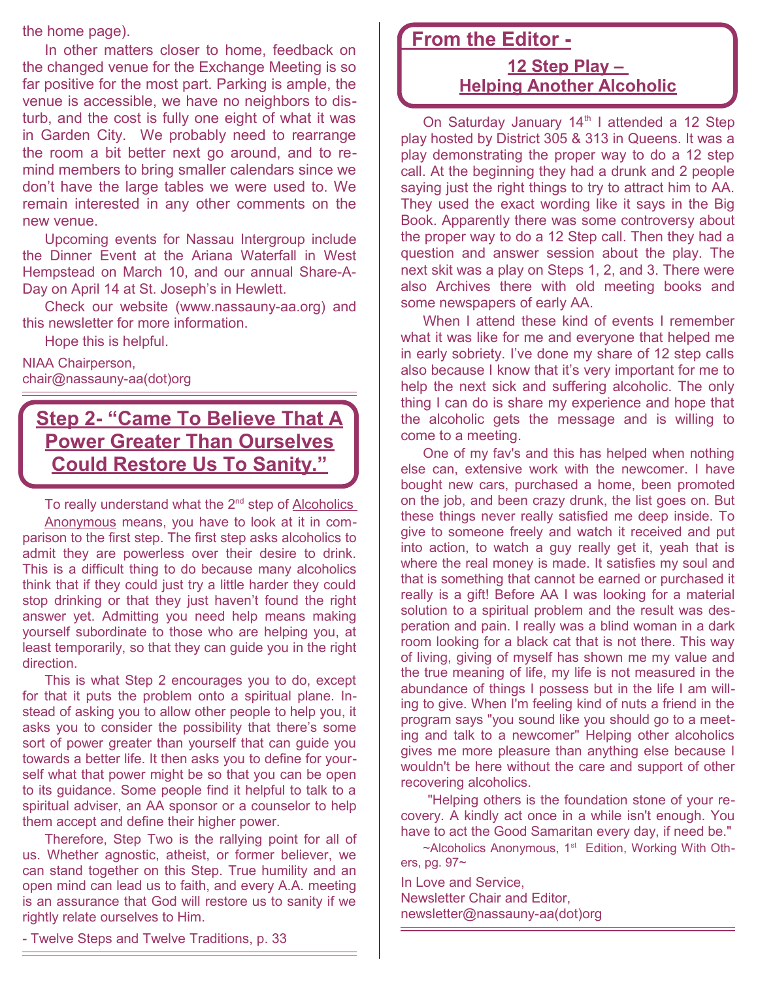the home page).

In other matters closer to home, feedback on the changed venue for the Exchange Meeting is so far positive for the most part. Parking is ample, the venue is accessible, we have no neighbors to disturb, and the cost is fully one eight of what it was in Garden City. We probably need to rearrange the room a bit better next go around, and to remind members to bring smaller calendars since we don't have the large tables we were used to. We remain interested in any other comments on the new venue.

Upcoming events for Nassau Intergroup include the Dinner Event at the Ariana Waterfall in West Hempstead on March 10, and our annual Share-A-Day on April 14 at St. Joseph's in Hewlett.

Check our website (www.nassauny-aa.org) and this newsletter for more information.

Hope this is helpful.

NIAA Chairperson, chair@nassauny-aa(dot)org

## **Step 2- "Came To Believe That A Power Greater Than Ourselves Could Restore Us To Sanity."**

To really understand what the  $2<sup>nd</sup>$  step of Alcoholics Anonymous means, you have to look at it in comparison to the first step. The first step asks alcoholics to admit they are powerless over their desire to drink. This is a difficult thing to do because many alcoholics think that if they could just try a little harder they could stop drinking or that they just haven't found the right answer yet. Admitting you need help means making yourself subordinate to those who are helping you, at least temporarily, so that they can guide you in the right direction.

This is what Step 2 encourages you to do, except for that it puts the problem onto a spiritual plane. Instead of asking you to allow other people to help you, it asks you to consider the possibility that there's some sort of power greater than yourself that can guide you towards a better life. It then asks you to define for yourself what that power might be so that you can be open to its guidance. Some people find it helpful to talk to a spiritual adviser, an AA sponsor or a counselor to help them accept and define their higher power.

Therefore, Step Two is the rallying point for all of us. Whether agnostic, atheist, or former believer, we can stand together on this Step. True humility and an open mind can lead us to faith, and every A.A. meeting is an assurance that God will restore us to sanity if we rightly relate ourselves to Him.

#### **From the Editor -**

#### **12 Step Play – Helping Another Alcoholic**

On Saturday January 14<sup>th</sup> I attended a 12 Step play hosted by District 305 & 313 in Queens. It was a play demonstrating the proper way to do a 12 step call. At the beginning they had a drunk and 2 people saying just the right things to try to attract him to AA. They used the exact wording like it says in the Big Book. Apparently there was some controversy about the proper way to do a 12 Step call. Then they had a question and answer session about the play. The next skit was a play on Steps 1, 2, and 3. There were also Archives there with old meeting books and some newspapers of early AA.

When I attend these kind of events I remember what it was like for me and everyone that helped me in early sobriety. I've done my share of 12 step calls also because I know that it's very important for me to help the next sick and suffering alcoholic. The only thing I can do is share my experience and hope that the alcoholic gets the message and is willing to come to a meeting.

One of my fav's and this has helped when nothing else can, extensive work with the newcomer. I have bought new cars, purchased a home, been promoted on the job, and been crazy drunk, the list goes on. But these things never really satisfied me deep inside. To give to someone freely and watch it received and put into action, to watch a guy really get it, yeah that is where the real money is made. It satisfies my soul and that is something that cannot be earned or purchased it really is a gift! Before AA I was looking for a material solution to a spiritual problem and the result was desperation and pain. I really was a blind woman in a dark room looking for a black cat that is not there. This way of living, giving of myself has shown me my value and the true meaning of life, my life is not measured in the abundance of things I possess but in the life I am willing to give. When I'm feeling kind of nuts a friend in the program says "you sound like you should go to a meeting and talk to a newcomer" Helping other alcoholics gives me more pleasure than anything else because I wouldn't be here without the care and support of other recovering alcoholics.

 "Helping others is the foundation stone of your recovery. A kindly act once in a while isn't enough. You have to act the Good Samaritan every day, if need be."

~Alcoholics Anonymous, 1<sup>st</sup> Edition, Working With Others, pg. 97~

In Love and Service, Newsletter Chair and Editor, newsletter@nassauny-aa(dot)org

- Twelve Steps and Twelve Traditions, p. 33